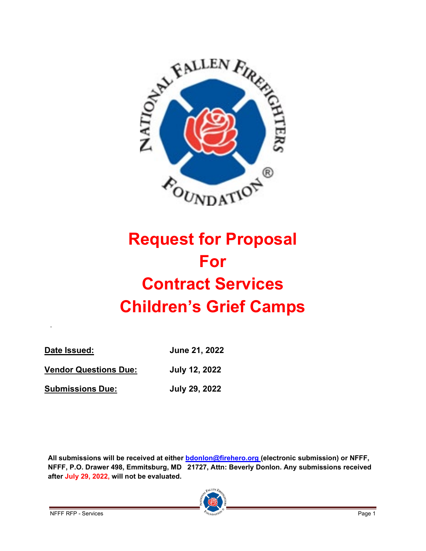

# **Request for Proposal For Contract Services Children's Grief Camps**

| <b>Date Issued:</b>          | June 21, 2022        |
|------------------------------|----------------------|
| <b>Vendor Questions Due:</b> | <b>July 12, 2022</b> |

**Submissions Due: July 29, 2022**

**All submissions will be received at either [bdonlon@firehero.org \(](mailto:bdonlon@firehero.org)electronic submission) or NFFF, NFFF, P.O. Drawer 498, Emmitsburg, MD 21727, Attn: Beverly Donlon. Any submissions received after July 29, 2022, will not be evaluated.**



.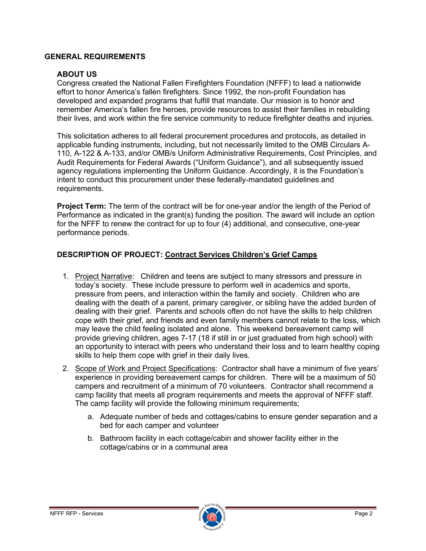# **GENERAL REQUIREMENTS**

# **ABOUT US**

Congress created the National Fallen Firefighters Foundation (NFFF) to lead a nationwide effort to honor America's fallen firefighters. Since 1992, the non-profit Foundation has developed and expanded programs that fulfill that mandate. Our mission is to honor and remember America's fallen fire heroes, provide resources to assist their families in rebuilding their lives, and work within the fire service community to reduce firefighter deaths and injuries.

This solicitation adheres to all federal procurement procedures and protocols, as detailed in applicable funding instruments, including, but not necessarily limited to the OMB Circulars A-110, A-122 & A-133, and/or OMB/s Uniform Administrative Requirements, Cost Principles, and Audit Requirements for Federal Awards ("Uniform Guidance"), and all subsequently issued agency regulations implementing the Uniform Guidance. Accordingly, it is the Foundation's intent to conduct this procurement under these federally-mandated guidelines and requirements.

**Project Term:** The term of the contract will be for one-year and/or the length of the Period of Performance as indicated in the grant(s) funding the position. The award will include an option for the NFFF to renew the contract for up to four (4) additional, and consecutive, one-year performance periods.

# **DESCRIPTION OF PROJECT: Contract Services Children's Grief Camps**

- 1. Project Narrative: Children and teens are subject to many stressors and pressure in today's society. These include pressure to perform well in academics and sports, pressure from peers, and interaction within the family and society. Children who are dealing with the death of a parent, primary caregiver, or sibling have the added burden of dealing with their grief. Parents and schools often do not have the skills to help children cope with their grief, and friends and even family members cannot relate to the loss, which may leave the child feeling isolated and alone. This weekend bereavement camp will provide grieving children, ages 7-17 (18 if still in or just graduated from high school) with an opportunity to interact with peers who understand their loss and to learn healthy coping skills to help them cope with grief in their daily lives.
- 2. Scope of Work and Project Specifications: Contractor shall have a minimum of five years' experience in providing bereavement camps for children. There will be a maximum of 50 campers and recruitment of a minimum of 70 volunteers. Contractor shall recommend a camp facility that meets all program requirements and meets the approval of NFFF staff. The camp facility will provide the following minimum requirements;
	- a. Adequate number of beds and cottages/cabins to ensure gender separation and a bed for each camper and volunteer
	- b. Bathroom facility in each cottage/cabin and shower facility either in the cottage/cabins or in a communal area

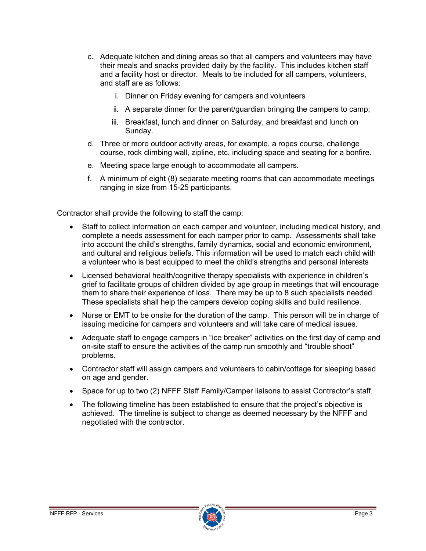- c. Adequate kitchen and dining areas so that all campers and volunteers may have their meals and snacks provided daily by the facility. This includes kitchen staff and a facility host or director. Meals to be included for all campers, volunteers, and staff are as follows:
	- i. Dinner on Friday evening for campers and volunteers
	- ii. A separate dinner for the parent/guardian bringing the campers to camp;
	- iii. Breakfast, lunch and dinner on Saturday, and breakfast and lunch on Sunday.
- d. Three or more outdoor activity areas, for example, a ropes course, challenge course, rock climbing wall, zipline, etc. including space and seating for a bonfire.
- e. Meeting space large enough to accommodate all campers.
- f. A minimum of eight (8) separate meeting rooms that can accommodate meetings ranging in size from 15-25 participants.

Contractor shall provide the following to staff the camp:

- Staff to collect information on each camper and volunteer, including medical history, and complete a needs assessment for each camper prior to camp. Assessments shall take into account the child's strengths, family dynamics, social and economic environment, and cultural and religious beliefs. This information will be used to match each child with a volunteer who is best equipped to meet the child's strengths and personal interests
- Licensed behavioral health/cognitive therapy specialists with experience in children's grief to facilitate groups of children divided by age group in meetings that will encourage them to share their experience of loss. There may be up to 8 such specialists needed. These specialists shall help the campers develop coping skills and build resilience.
- Nurse or EMT to be onsite for the duration of the camp. This person will be in charge of issuing medicine for campers and volunteers and will take care of medical issues.
- Adequate staff to engage campers in "ice breaker" activities on the first day of camp and on-site staff to ensure the activities of the camp run smoothly and "trouble shoot" problems.
- Contractor staff will assign campers and volunteers to cabin/cottage for sleeping based on age and gender.
- Space for up to two (2) NFFF Staff Family/Camper liaisons to assist Contractor's staff.
- The following timeline has been established to ensure that the project's objective is achieved. The timeline is subject to change as deemed necessary by the NFFF and negotiated with the contractor.

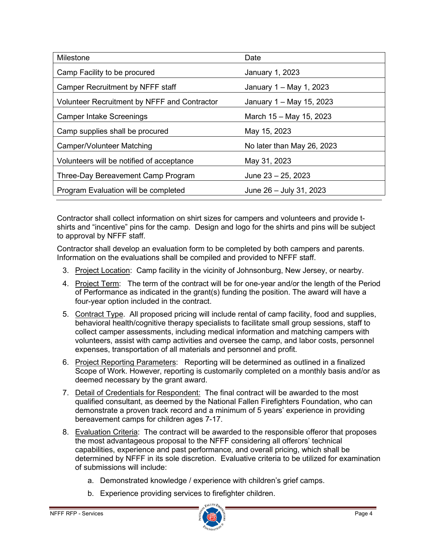| <b>Milestone</b>                                    | Date                       |
|-----------------------------------------------------|----------------------------|
| Camp Facility to be procured                        | January 1, 2023            |
| Camper Recruitment by NFFF staff                    | January 1 – May 1, 2023    |
| <b>Volunteer Recruitment by NFFF and Contractor</b> | January 1 – May 15, 2023   |
| <b>Camper Intake Screenings</b>                     | March 15 – May 15, 2023    |
| Camp supplies shall be procured                     | May 15, 2023               |
| Camper/Volunteer Matching                           | No later than May 26, 2023 |
| Volunteers will be notified of acceptance           | May 31, 2023               |
| Three-Day Bereavement Camp Program                  | June $23 - 25$ , 2023      |
| Program Evaluation will be completed                | June 26 - July 31, 2023    |

Contractor shall collect information on shirt sizes for campers and volunteers and provide tshirts and "incentive" pins for the camp. Design and logo for the shirts and pins will be subject to approval by NFFF staff.

Contractor shall develop an evaluation form to be completed by both campers and parents. Information on the evaluations shall be compiled and provided to NFFF staff.

- 3. Project Location: Camp facility in the vicinity of Johnsonburg, New Jersey, or nearby.
- 4. Project Term: The term of the contract will be for one-year and/or the length of the Period of Performance as indicated in the grant(s) funding the position. The award will have a four-year option included in the contract.
- 5. Contract Type. All proposed pricing will include rental of camp facility, food and supplies, behavioral health/cognitive therapy specialists to facilitate small group sessions, staff to collect camper assessments, including medical information and matching campers with volunteers, assist with camp activities and oversee the camp, and labor costs, personnel expenses, transportation of all materials and personnel and profit.
- 6. Project Reporting Parameters: Reporting will be determined as outlined in a finalized Scope of Work. However, reporting is customarily completed on a monthly basis and/or as deemed necessary by the grant award.
- 7. Detail of Credentials for Respondent: The final contract will be awarded to the most qualified consultant, as deemed by the National Fallen Firefighters Foundation, who can demonstrate a proven track record and a minimum of 5 years' experience in providing bereavement camps for children ages 7-17.
- 8. Evaluation Criteria: The contract will be awarded to the responsible offeror that proposes the most advantageous proposal to the NFFF considering all offerors' technical capabilities, experience and past performance, and overall pricing, which shall be determined by NFFF in its sole discretion. Evaluative criteria to be utilized for examination of submissions will include:
	- a. Demonstrated knowledge / experience with children's grief camps.
	- b. Experience providing services to firefighter children.

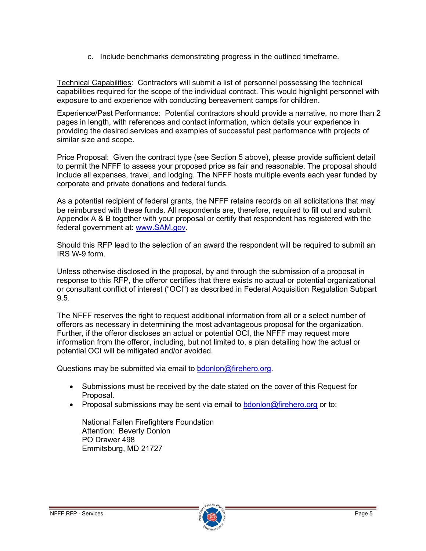c. Include benchmarks demonstrating progress in the outlined timeframe.

Technical Capabilities: Contractors will submit a list of personnel possessing the technical capabilities required for the scope of the individual contract. This would highlight personnel with exposure to and experience with conducting bereavement camps for children.

Experience/Past Performance: Potential contractors should provide a narrative, no more than 2 pages in length, with references and contact information, which details your experience in providing the desired services and examples of successful past performance with projects of similar size and scope.

Price Proposal: Given the contract type (see Section 5 above), please provide sufficient detail to permit the NFFF to assess your proposed price as fair and reasonable. The proposal should include all expenses, travel, and lodging. The NFFF hosts multiple events each year funded by corporate and private donations and federal funds.

As a potential recipient of federal grants, the NFFF retains records on all solicitations that may be reimbursed with these funds. All respondents are, therefore, required to fill out and submit Appendix A & B together with your proposal or certify that respondent has registered with the federal government at: [www.SAM.gov.](http://www.sam.gov/)

Should this RFP lead to the selection of an award the respondent will be required to submit an IRS W-9 form.

Unless otherwise disclosed in the proposal, by and through the submission of a proposal in response to this RFP, the offeror certifies that there exists no actual or potential organizational or consultant conflict of interest ("OCI") as described in Federal Acquisition Regulation Subpart 9.5.

The NFFF reserves the right to request additional information from all or a select number of offerors as necessary in determining the most advantageous proposal for the organization. Further, if the offeror discloses an actual or potential OCI, the NFFF may request more information from the offeror, including, but not limited to, a plan detailing how the actual or potential OCI will be mitigated and/or avoided.

Questions may be submitted via email to [bdonlon@firehero.org.](mailto:bdonlon@firehero.org)

- Submissions must be received by the date stated on the cover of this Request for Proposal.
- Proposal submissions may be sent via email to **bdonlon@firehero.org** or to:

National Fallen Firefighters Foundation Attention: Beverly Donlon PO Drawer 498 Emmitsburg, MD 21727

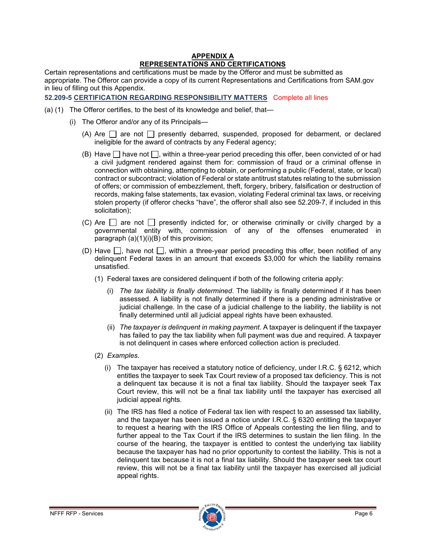## **APPENDIX A REPRESENTATIONS AND CERTIFICATIONS**

Certain representations and certifications must be made by the Offeror and must be submitted as appropriate. The Offeror can provide a copy of its current Representations and Certifications from SAM.gov in lieu of filling out this Appendix.

## **52.209-5 CERTIFICATION REGARDING RESPONSIBILITY MATTERS** Complete all lines

- (a) (1) The Offeror certifies, to the best of its knowledge and belief, that—
	- (i) The Offeror and/or any of its Principals—
		- (A) Are  $\Box$  are not  $\Box$  presently debarred, suspended, proposed for debarment, or declared ineligible for the award of contracts by any Federal agency;
		- (B) Have  $\Box$  have not  $\Box$ , within a three-year period preceding this offer, been convicted of or had a civil judgment rendered against them for: commission of fraud or a criminal offense in connection with obtaining, attempting to obtain, or performing a public (Federal, state, or local) contract or subcontract; violation of Federal or state antitrust statutes relating to the submission of offers; or commission of embezzlement, theft, forgery, bribery, falsification or destruction of records, making false statements, tax evasion, violating Federal criminal tax laws, or receiving stolen property (if offeror checks "have", the offeror shall also see 52.209-7, if included in this solicitation);
		- (C) Are  $\Box$  are not  $\Box$  presently indicted for, or otherwise criminally or civilly charged by a governmental entity with, commission of any of the offenses enumerated in paragraph  $(a)(1)(i)(B)$  of this provision;
		- (D) Have  $\Box$ , have not  $\Box$ , within a three-year period preceding this offer, been notified of any delinquent Federal taxes in an amount that exceeds \$3,000 for which the liability remains unsatisfied.
			- (1) Federal taxes are considered delinquent if both of the following criteria apply:
				- (i) *The tax liability is finally determined*. The liability is finally determined if it has been assessed. A liability is not finally determined if there is a pending administrative or judicial challenge. In the case of a judicial challenge to the liability, the liability is not finally determined until all judicial appeal rights have been exhausted.
				- (ii) *The taxpayer is delinquent in making payment*. A taxpayer is delinquent if the taxpayer has failed to pay the tax liability when full payment was due and required. A taxpayer is not delinquent in cases where enforced collection action is precluded.
			- (2) *Examples*.
				- (i) The taxpayer has received a statutory notice of deficiency, under I.R.C. § 6212, which entitles the taxpayer to seek Tax Court review of a proposed tax deficiency. This is not a delinquent tax because it is not a final tax liability. Should the taxpayer seek Tax Court review, this will not be a final tax liability until the taxpayer has exercised all judicial appeal rights.
				- (ii) The IRS has filed a notice of Federal tax lien with respect to an assessed tax liability, and the taxpayer has been issued a notice under I.R.C. § 6320 entitling the taxpayer to request a hearing with the IRS Office of Appeals contesting the lien filing, and to further appeal to the Tax Court if the IRS determines to sustain the lien filing. In the course of the hearing, the taxpayer is entitled to contest the underlying tax liability because the taxpayer has had no prior opportunity to contest the liability. This is not a delinquent tax because it is not a final tax liability. Should the taxpayer seek tax court review, this will not be a final tax liability until the taxpayer has exercised all judicial appeal rights.

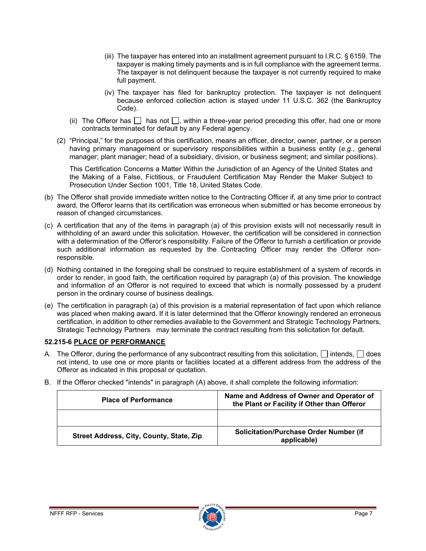- (iii) The taxpayer has entered into an installment agreement pursuant to I.R.C. § 6159. The taxpayer is making timely payments and is in full compliance with the agreement terms. The taxpayer is not delinquent because the taxpayer is not currently required to make full payment.
- (iv) The taxpayer has filed for bankruptcy protection. The taxpayer is not delinquent because enforced collection action is stayed under 11 U.S.C. 362 (the Bankruptcy Code).
- (ii) The Offeror has  $\Box$  has not  $\Box$ , within a three-year period preceding this offer, had one or more contracts terminated for default by any Federal agency.
- (2) "Principal," for the purposes of this certification, means an officer, director, owner, partner, or a person having primary management or supervisory responsibilities within a business entity (*e.g.*, general manager; plant manager; head of a subsidiary, division, or business segment; and similar positions).

This Certification Concerns a Matter Within the Jurisdiction of an Agency of the United States and the Making of a False, Fictitious, or Fraudulent Certification May Render the Maker Subject to Prosecution Under Section 1001, Title 18, United States Code.

- (b) The Offeror shall provide immediate written notice to the Contracting Officer if, at any time prior to contract award, the Offeror learns that its certification was erroneous when submitted or has become erroneous by reason of changed circumstances.
- (c) A certification that any of the items in paragraph (a) of this provision exists will not necessarily result in withholding of an award under this solicitation. However, the certification will be considered in connection with a determination of the Offeror's responsibility. Failure of the Offeror to furnish a certification or provide such additional information as requested by the Contracting Officer may render the Offeror nonresponsible.
- (d) Nothing contained in the foregoing shall be construed to require establishment of a system of records in order to render, in good faith, the certification required by paragraph (a) of this provision. The knowledge and information of an Offeror is not required to exceed that which is normally possessed by a prudent person in the ordinary course of business dealings.
- (e) The certification in paragraph (a) of this provision is a material representation of fact upon which reliance was placed when making award. If it is later determined that the Offeror knowingly rendered an erroneous certification, in addition to other remedies available to the Government and Strategic Technology Partners, Strategic Technology Partners may terminate the contract resulting from this solicitation for default.

# **52.215-6 PLACE OF PERFORMANCE**

- A. The Offeror, during the performance of any subcontract resulting from this solicitation,  $\Box$  intends,  $\Box$  does not intend, to use one or more plants or facilities located at a different address from the address of the Offeror as indicated in this proposal or quotation.
- B. If the Offeror checked "intends" in paragraph (A) above, it shall complete the following information:

| <b>Place of Performance</b>              | Name and Address of Owner and Operator of<br>the Plant or Facility if Other than Offeror |
|------------------------------------------|------------------------------------------------------------------------------------------|
|                                          |                                                                                          |
| Street Address, City, County, State, Zip | <b>Solicitation/Purchase Order Number (if</b><br>applicable)                             |

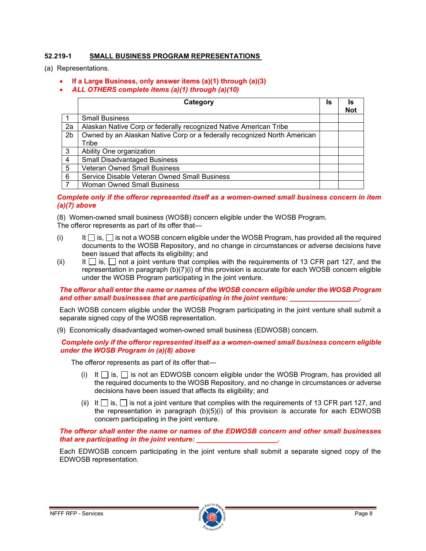# **52.219-1 SMALL BUSINESS PROGRAM REPRESENTATIONS**

(a) Representations.

- **If a Large Business, only answer items (a)(1) through (a)(3)**
- *ALL OTHERS complete items (a)(1) through (a)(10)*

|                | Category                                                                 | Is | ls<br><b>Not</b> |
|----------------|--------------------------------------------------------------------------|----|------------------|
| $\vert$ 1      | <b>Small Business</b>                                                    |    |                  |
| 2a             | Alaskan Native Corp or federally recognized Native American Tribe        |    |                  |
| 2 <sub>b</sub> | Owned by an Alaskan Native Corp or a federally recognized North American |    |                  |
|                | Tribe                                                                    |    |                  |
| $\mathbf{3}$   | Ability One organization                                                 |    |                  |
| $\overline{4}$ | <b>Small Disadvantaged Business</b>                                      |    |                  |
| $\overline{5}$ | <b>Veteran Owned Small Business</b>                                      |    |                  |
| 6              | Service Disable Veteran Owned Small Business                             |    |                  |
| -7             | Woman Owned Small Business                                               |    |                  |

## *Complete only if the offeror represented itself as a women-owned small business concern in item (a)(7) above*

(8) Women-owned small business (WOSB) concern eligible under the WOSB Program. The offeror represents as part of its offer that—

- (i) It  $\Box$  is,  $\Box$  is not a WOSB concern eligible under the WOSB Program, has provided all the required documents to the WOSB Repository, and no change in circumstances or adverse decisions have been issued that affects its eligibility; and
- (ii) It  $\Box$  is,  $\Box$  not a joint venture that complies with the requirements of 13 CFR part 127, and the representation in paragraph (b)(7)(i) of this provision is accurate for each WOSB concern eligible under the WOSB Program participating in the joint venture.

*The offeror shall enter the name or names of the WOSB concern eligible under the WOSB Program*  and other small businesses that are participating in the joint venture:

Each WOSB concern eligible under the WOSB Program participating in the joint venture shall submit a separate signed copy of the WOSB representation.

(9) Economically disadvantaged women-owned small business (EDWOSB) concern.

#### *Complete only if the offeror represented itself as a women-owned small business concern eligible under the WOSB Program in (a)(8) above*

The offeror represents as part of its offer that—

- (i) It  $\Box$  is,  $\Box$  is not an EDWOSB concern eligible under the WOSB Program, has provided all the required documents to the WOSB Repository, and no change in circumstances or adverse decisions have been issued that affects its eligibility; and
- (ii) It  $\Box$  is,  $\Box$  is not a joint venture that complies with the requirements of 13 CFR part 127, and the representation in paragraph  $(b)(5)(i)$  of this provision is accurate for each EDWOSB concern participating in the joint venture.

*The offeror shall enter the name or names of the EDWOSB concern and other small businesses that are participating in the joint venture: \_\_\_\_\_\_\_\_\_\_\_\_\_\_\_\_\_\_\_\_\_.*

Each EDWOSB concern participating in the joint venture shall submit a separate signed copy of the EDWOSB representation.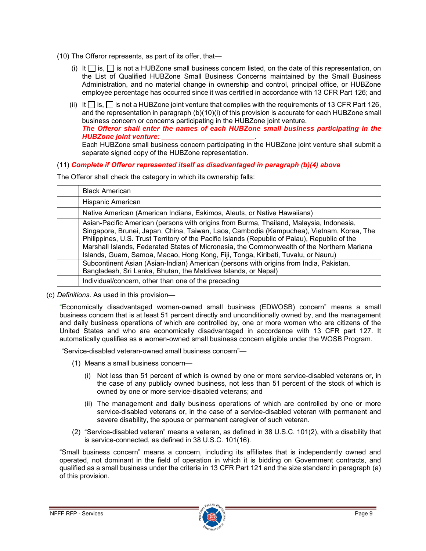- (10) The Offeror represents, as part of its offer, that—
	- (i) It  $\Box$  is,  $\Box$  is not a HUBZone small business concern listed, on the date of this representation, on the List of Qualified HUBZone Small Business Concerns maintained by the Small Business Administration, and no material change in ownership and control, principal office, or HUBZone employee percentage has occurred since it was certified in accordance with 13 CFR Part 126; and
	- (ii) It  $\Box$  is,  $\Box$  is not a HUBZone joint venture that complies with the requirements of 13 CFR Part 126, and the representation in paragraph (b)(10)(i) of this provision is accurate for each HUBZone small business concern or concerns participating in the HUBZone joint venture. *The Offeror shall enter the names of each HUBZone small business participating in the HUBZone joint venture: \_\_\_\_\_\_\_\_\_\_\_\_\_\_\_\_\_\_\_\_\_\_\_\_***.**

Each HUBZone small business concern participating in the HUBZone joint venture shall submit a separate signed copy of the HUBZone representation.

(11) *Complete if Offeror represented itself as disadvantaged in paragraph (b)(4) above*

The Offeror shall check the category in which its ownership falls:

| <b>Black American</b>                                                                                                                                                                                                                                                                                                                                                                                                                                                  |
|------------------------------------------------------------------------------------------------------------------------------------------------------------------------------------------------------------------------------------------------------------------------------------------------------------------------------------------------------------------------------------------------------------------------------------------------------------------------|
| Hispanic American                                                                                                                                                                                                                                                                                                                                                                                                                                                      |
| Native American (American Indians, Eskimos, Aleuts, or Native Hawaiians)                                                                                                                                                                                                                                                                                                                                                                                               |
| Asian-Pacific American (persons with origins from Burma, Thailand, Malaysia, Indonesia,<br>Singapore, Brunei, Japan, China, Taiwan, Laos, Cambodia (Kampuchea), Vietnam, Korea, The<br>Philippines, U.S. Trust Territory of the Pacific Islands (Republic of Palau), Republic of the<br>Marshall Islands, Federated States of Micronesia, the Commonwealth of the Northern Mariana<br>Islands, Guam, Samoa, Macao, Hong Kong, Fiji, Tonga, Kiribati, Tuvalu, or Nauru) |
| Subcontinent Asian (Asian-Indian) American (persons with origins from India, Pakistan,<br>Bangladesh, Sri Lanka, Bhutan, the Maldives Islands, or Nepal)                                                                                                                                                                                                                                                                                                               |
| Individual/concern, other than one of the preceding                                                                                                                                                                                                                                                                                                                                                                                                                    |

(c) *Definitions*. As used in this provision—

"Economically disadvantaged women-owned small business (EDWOSB) concern" means a small business concern that is at least 51 percent directly and unconditionally owned by, and the management and daily business operations of which are controlled by, one or more women who are citizens of the United States and who are economically disadvantaged in accordance with 13 CFR part 127. It automatically qualifies as a women-owned small business concern eligible under the WOSB Program.

"Service-disabled veteran-owned small business concern"—

- (1) Means a small business concern—
	- (i) Not less than 51 percent of which is owned by one or more service-disabled veterans or, in the case of any publicly owned business, not less than 51 percent of the stock of which is owned by one or more service-disabled veterans; and
	- (ii) The management and daily business operations of which are controlled by one or more service-disabled veterans or, in the case of a service-disabled veteran with permanent and severe disability, the spouse or permanent caregiver of such veteran.
- (2) "Service-disabled veteran" means a veteran, as defined in 38 U.S.C. 101(2), with a disability that is service-connected, as defined in 38 U.S.C. 101(16).

"Small business concern" means a concern, including its affiliates that is independently owned and operated, not dominant in the field of operation in which it is bidding on Government contracts, and qualified as a small business under the criteria in 13 CFR Part 121 and the size standard in paragraph (a) of this provision.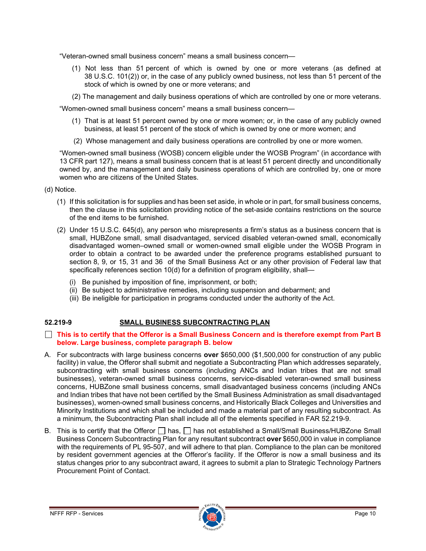"Veteran-owned small business concern" means a small business concern—

- (1) Not less than 51 percent of which is owned by one or more veterans (as defined at 38 U.S.C. 101(2)) or, in the case of any publicly owned business, not less than 51 percent of the stock of which is owned by one or more veterans; and
- (2) The management and daily business operations of which are controlled by one or more veterans.

"Women-owned small business concern" means a small business concern—

- (1) That is at least 51 percent owned by one or more women; or, in the case of any publicly owned business, at least 51 percent of the stock of which is owned by one or more women; and
- (2) Whose management and daily business operations are controlled by one or more women.

"Women-owned small business (WOSB) concern eligible under the WOSB Program" (in accordance with 13 CFR part 127), means a small business concern that is at least 51 percent directly and unconditionally owned by, and the management and daily business operations of which are controlled by, one or more women who are citizens of the United States.

(d) Notice.

- (1) If this solicitation is for supplies and has been set aside, in whole or in part, for small business concerns, then the clause in this solicitation providing notice of the set-aside contains restrictions on the source of the end items to be furnished.
- (2) Under 15 U.S.C. 645(d), any person who misrepresents a firm's status as a business concern that is small, HUBZone small, small disadvantaged, serviced disabled veteran-owned small, economically disadvantaged women–owned small or women-owned small eligible under the WOSB Program in order to obtain a contract to be awarded under the preference programs established pursuant to section 8, 9, or 15, 31 and 36 of the Small Business Act or any other provision of Federal law that specifically references section 10(d) for a definition of program eligibility, shall—
	- (i) Be punished by imposition of fine, imprisonment, or both;
	- (ii) Be subject to administrative remedies, including suspension and debarment; and
	- (iii) Be ineligible for participation in programs conducted under the authority of the Act.

## **52.219-9 SMALL BUSINESS SUBCONTRACTING PLAN**

#### **This is to certify that the Offeror is a Small Business Concern and is therefore exempt from Part B below. Large business, complete paragraph B. below**

- A. For subcontracts with large business concerns **over** \$650,000 (\$1,500,000 for construction of any public facility) in value, the Offeror shall submit and negotiate a Subcontracting Plan which addresses separately, subcontracting with small business concerns (including ANCs and Indian tribes that are not small businesses), veteran-owned small business concerns, service-disabled veteran-owned small business concerns, HUBZone small business concerns, small disadvantaged business concerns (including ANCs and Indian tribes that have not been certified by the Small Business Administration as small disadvantaged businesses), women-owned small business concerns, and Historically Black Colleges and Universities and Minority Institutions and which shall be included and made a material part of any resulting subcontract. As a minimum, the Subcontracting Plan shall include all of the elements specified in FAR 52.219-9.
- B. This is to certify that the Offeror  $\Box$  has,  $\Box$  has not established a Small/Small Business/HUBZone Small Business Concern Subcontracting Plan for any resultant subcontract **over** \$650,000 in value in compliance with the requirements of PL 95-507, and will adhere to that plan. Compliance to the plan can be monitored by resident government agencies at the Offeror's facility. If the Offeror is now a small business and its status changes prior to any subcontract award, it agrees to submit a plan to Strategic Technology Partners Procurement Point of Contact.

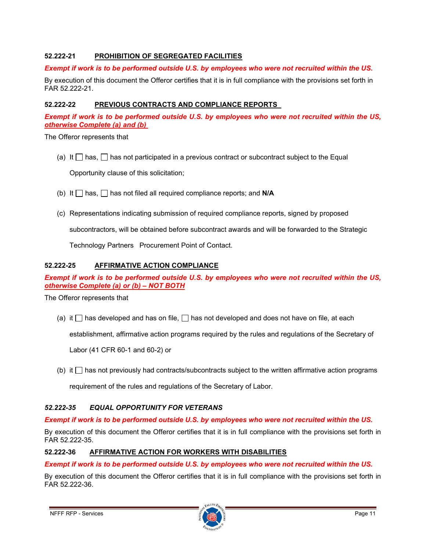# **52.222-21 PROHIBITION OF SEGREGATED FACILITIES**

## *Exempt if work is to be performed outside U.S. by employees who were not recruited within the US.*

By execution of this document the Offeror certifies that it is in full compliance with the provisions set forth in FAR 52.222-21.

## **52.222-22 PREVIOUS CONTRACTS AND COMPLIANCE REPORTS**

*Exempt if work is to be performed outside U.S. by employees who were not recruited within the US, otherwise Complete (a) and (b)* 

The Offeror represents that

(a) It  $\Box$  has,  $\Box$  has not participated in a previous contract or subcontract subject to the Equal

Opportunity clause of this solicitation;

- (b) It  $\Box$  has,  $\Box$  has not filed all required compliance reports; and **N/A**
- (c) Representations indicating submission of required compliance reports, signed by proposed

subcontractors, will be obtained before subcontract awards and will be forwarded to the Strategic

Technology Partners Procurement Point of Contact.

#### **52.222-25 AFFIRMATIVE ACTION COMPLIANCE**

## *Exempt if work is to be performed outside U.S. by employees who were not recruited within the US, otherwise Complete (a) or (b) – NOT BOTH*

The Offeror represents that

(a) it  $\Box$  has developed and has on file,  $\Box$  has not developed and does not have on file, at each

establishment, affirmative action programs required by the rules and regulations of the Secretary of

Labor (41 CFR 60-1 and 60-2) or

(b) it  $\Box$  has not previously had contracts/subcontracts subject to the written affirmative action programs

requirement of the rules and regulations of the Secretary of Labor.

## *52.222-35 EQUAL OPPORTUNITY FOR VETERANS*

#### *Exempt if work is to be performed outside U.S. by employees who were not recruited within the US.*

By execution of this document the Offeror certifies that it is in full compliance with the provisions set forth in FAR 52.222-35.

#### **52.222-36 AFFIRMATIVE ACTION FOR WORKERS WITH DISABILITIES**

#### *Exempt if work is to be performed outside U.S. by employees who were not recruited within the US.*

By execution of this document the Offeror certifies that it is in full compliance with the provisions set forth in FAR 52.222-36.

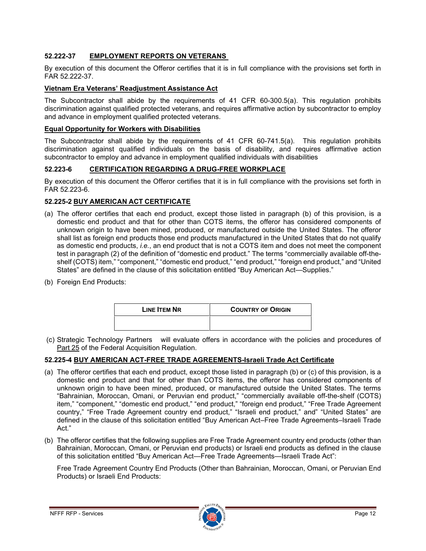# **52.222-37 EMPLOYMENT REPORTS ON VETERANS**

By execution of this document the Offeror certifies that it is in full compliance with the provisions set forth in FAR 52.222-37.

## **Vietnam Era Veterans' Readjustment Assistance Act**

The Subcontractor shall abide by the requirements of 41 CFR 60-300.5(a). This regulation prohibits discrimination against qualified protected veterans, and requires affirmative action by subcontractor to employ and advance in employment qualified protected veterans.

## **Equal Opportunity for Workers with Disabilities**

The Subcontractor shall abide by the requirements of 41 CFR 60-741.5(a). This regulation prohibits discrimination against qualified individuals on the basis of disability, and requires affirmative action subcontractor to employ and advance in employment qualified individuals with disabilities

## **52.223-6 CERTIFICATION REGARDING A DRUG-FREE WORKPLACE**

By execution of this document the Offeror certifies that it is in full compliance with the provisions set forth in FAR 52.223-6.

## **52.225-2 BUY AMERICAN ACT CERTIFICATE**

- (a) The offeror certifies that each end product, except those listed in paragraph (b) of this provision, is a domestic end product and that for other than COTS items, the offeror has considered components of unknown origin to have been mined, produced, or manufactured outside the United States. The offeror shall list as foreign end products those end products manufactured in the United States that do not qualify as domestic end products, *i.e.*, an end product that is not a COTS item and does not meet the component test in paragraph (2) of the definition of "domestic end product." The terms "commercially available off-theshelf (COTS) item," "component," "domestic end product," "end product," "foreign end product," and "United States" are defined in the clause of this solicitation entitled "Buy American Act—Supplies."
- (b) Foreign End Products:

| LINE ITEM NR | <b>COUNTRY OF ORIGIN</b> |
|--------------|--------------------------|
|              |                          |

(c) Strategic Technology Partners will evaluate offers in accordance with the policies and procedures of [Part](http://www.arnet.gov/far/current/html/FARTOCP25.html#wp225048) 25 of the Federal Acquisition Regulation.

## **52.225-4 BUY AMERICAN ACT-FREE TRADE AGREEMENTS-Israeli Trade Act Certificate**

- (a) The offeror certifies that each end product, except those listed in paragraph (b) or (c) of this provision, is a domestic end product and that for other than COTS items, the offeror has considered components of unknown origin to have been mined, produced, or manufactured outside the United States. The terms "Bahrainian, Moroccan, Omani, or Peruvian end product," "commercially available off-the-shelf (COTS) item," "component," "domestic end product," "end product," "foreign end product," "Free Trade Agreement country," "Free Trade Agreement country end product," "Israeli end product," and" "United States" are defined in the clause of this solicitation entitled "Buy American Act–Free Trade Agreements–Israeli Trade Act."
- (b) The offeror certifies that the following supplies are Free Trade Agreement country end products (other than Bahrainian, Moroccan, Omani, or Peruvian end products) or Israeli end products as defined in the clause of this solicitation entitled "Buy American Act—Free Trade Agreements—Israeli Trade Act":

Free Trade Agreement Country End Products (Other than Bahrainian, Moroccan, Omani, or Peruvian End Products) or Israeli End Products: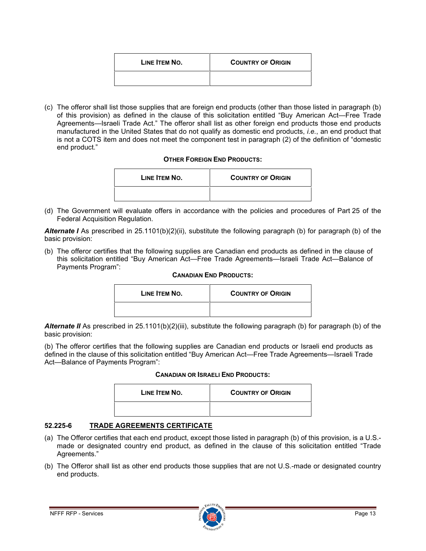| LINE ITEM NO. | <b>COUNTRY OF ORIGIN</b> |
|---------------|--------------------------|
|               |                          |

(c) The offeror shall list those supplies that are foreign end products (other than those listed in paragraph (b) of this provision) as defined in the clause of this solicitation entitled "Buy American Act—Free Trade Agreements—Israeli Trade Act." The offeror shall list as other foreign end products those end products manufactured in the United States that do not qualify as domestic end products, *i.e.*, an end product that is not a COTS item and does not meet the component test in paragraph (2) of the definition of "domestic end product."

## **OTHER FOREIGN END PRODUCTS:**

| LINE ITEM NO. | <b>COUNTRY OF ORIGIN</b> |
|---------------|--------------------------|
|               |                          |

(d) The Government will evaluate offers in accordance with the policies and procedures of Part 25 of the Federal Acquisition Regulation.

*Alternate I* As prescribed in 25.1101(b)(2)(ii), substitute the following paragraph (b) for paragraph (b) of the basic provision:

(b) The offeror certifies that the following supplies are Canadian end products as defined in the clause of this solicitation entitled "Buy American Act—Free Trade Agreements—Israeli Trade Act—Balance of Payments Program":

#### **CANADIAN END PRODUCTS:**

| LINE ITEM NO. | <b>COUNTRY OF ORIGIN</b> |
|---------------|--------------------------|
|               |                          |

*Alternate II* As prescribed in 25.1101(b)(2)(iii), substitute the following paragraph (b) for paragraph (b) of the basic provision:

(b) The offeror certifies that the following supplies are Canadian end products or Israeli end products as defined in the clause of this solicitation entitled "Buy American Act—Free Trade Agreements—Israeli Trade Act—Balance of Payments Program":

| LINE ITEM NO. | <b>COUNTRY OF ORIGIN</b> |
|---------------|--------------------------|
|               |                          |

## **52.225-6 TRADE AGREEMENTS CERTIFICATE**

- (a) The Offeror certifies that each end product, except those listed in paragraph (b) of this provision, is a U.S. made or designated country end product, as defined in the clause of this solicitation entitled "Trade Agreements."
- (b) The Offeror shall list as other end products those supplies that are not U.S.-made or designated country end products.

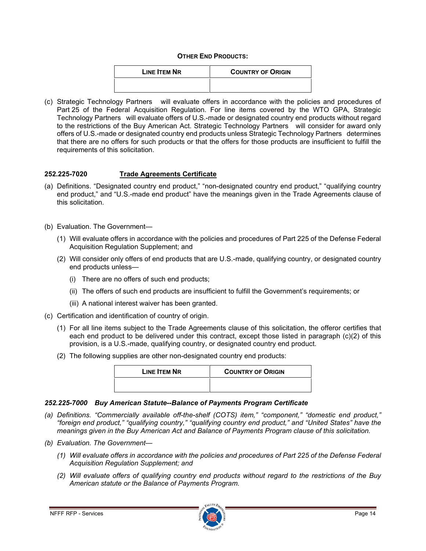## **OTHER END PRODUCTS:**

| LINE ITEM NR | <b>COUNTRY OF ORIGIN</b> |
|--------------|--------------------------|
|              |                          |

(c) Strategic Technology Partners will evaluate offers in accordance with the policies and procedures of Part 25 of the Federal Acquisition Regulation. For line items covered by the WTO GPA, Strategic Technology Partners will evaluate offers of U.S.-made or designated country end products without regard to the restrictions of the Buy American Act. Strategic Technology Partners will consider for award only offers of U.S.-made or designated country end products unless Strategic Technology Partners determines that there are no offers for such products or that the offers for those products are insufficient to fulfill the requirements of this solicitation.

# **252.225-7020 Trade Agreements Certificate**

- (a) Definitions. "Designated country end product," "non-designated country end product," "qualifying country end product," and "U.S.-made end product" have the meanings given in the Trade Agreements clause of this solicitation.
- (b) Evaluation. The Government—
	- (1) Will evaluate offers in accordance with the policies and procedures of Part 225 of the Defense Federal Acquisition Regulation Supplement; and
	- (2) Will consider only offers of end products that are U.S.-made, qualifying country, or designated country end products unless—
		- (i) There are no offers of such end products;
		- (ii) The offers of such end products are insufficient to fulfill the Government's requirements; or
		- (iii) A national interest waiver has been granted.
- (c) Certification and identification of country of origin.
	- (1) For all line items subject to the Trade Agreements clause of this solicitation, the offeror certifies that each end product to be delivered under this contract, except those listed in paragraph (c)(2) of this provision, is a U.S.-made, qualifying country, or designated country end product.
	- (2) The following supplies are other non-designated country end products:

| LINE ITEM NR | <b>COUNTRY OF ORIGIN</b> |
|--------------|--------------------------|
|              |                          |

## *252.225-7000 Buy American Statute--Balance of Payments Program Certificate*

- *(a) Definitions. "Commercially available off-the-shelf (COTS) item," "component," "domestic end product," "foreign end product," "qualifying country," "qualifying country end product," and "United States" have the meanings given in the Buy American Act and Balance of Payments Program clause of this solicitation.*
- *(b) Evaluation. The Government—* 
	- *(1) Will evaluate offers in accordance with the policies and procedures of Part 225 of the Defense Federal Acquisition Regulation Supplement; and*
	- *(2) Will evaluate offers of qualifying country end products without regard to the restrictions of the Buy American statute or the Balance of Payments Program.*

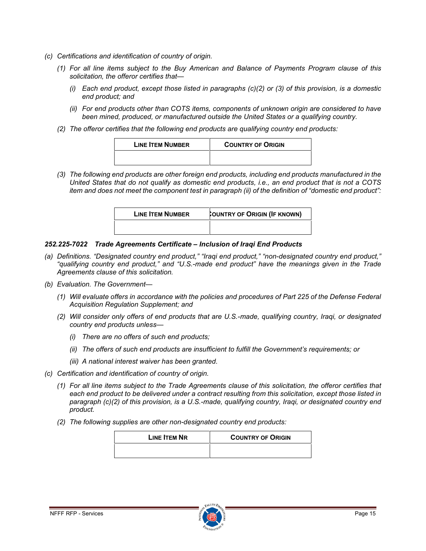- *(c) Certifications and identification of country of origin.*
	- *(1) For all line items subject to the Buy American and Balance of Payments Program clause of this solicitation, the offeror certifies that—*
		- *(i) Each end product, except those listed in paragraphs (c)(2) or (3) of this provision, is a domestic end product; and*
		- *(ii) For end products other than COTS items, components of unknown origin are considered to have been mined, produced, or manufactured outside the United States or a qualifying country.*
	- *(2) The offeror certifies that the following end products are qualifying country end products:*

| <b>LINE ITEM NUMBER</b> | <b>COUNTRY OF ORIGIN</b> |
|-------------------------|--------------------------|
|                         |                          |

*(3) The following end products are other foreign end products, including end products manufactured in the United States that do not qualify as domestic end products, i.e., an end product that is not a COTS item and does not meet the component test in paragraph (ii) of the definition of "domestic end product":*

| <b>LINE ITEM NUMBER</b> | COUNTRY OF ORIGIN (IF KNOWN) |  |
|-------------------------|------------------------------|--|
|                         |                              |  |

#### *252.225-7022 Trade Agreements Certificate – Inclusion of Iraqi End Products*

- *(a) Definitions. "Designated country end product," "Iraqi end product," "non-designated country end product," "qualifying country end product," and "U.S.-made end product" have the meanings given in the Trade Agreements clause of this solicitation.*
- *(b) Evaluation. The Government—*
	- *(1) Will evaluate offers in accordance with the policies and procedures of Part 225 of the Defense Federal Acquisition Regulation Supplement; and*
	- *(2) Will consider only offers of end products that are U.S.-made, qualifying country, Iraqi, or designated country end products unless—*
		- *(i) There are no offers of such end products;*
		- *(ii) The offers of such end products are insufficient to fulfill the Government's requirements; or*
		- *(iii) A national interest waiver has been granted.*
- *(c) Certification and identification of country of origin.*
	- *(1) For all line items subject to the Trade Agreements clause of this solicitation, the offeror certifies that each end product to be delivered under a contract resulting from this solicitation, except those listed in paragraph (c)(2) of this provision, is a U.S.-made, qualifying country, Iraqi, or designated country end product.*
	- *(2) The following supplies are other non-designated country end products:*

| LINE ITEM NR | <b>COUNTRY OF ORIGIN</b> |
|--------------|--------------------------|
|              |                          |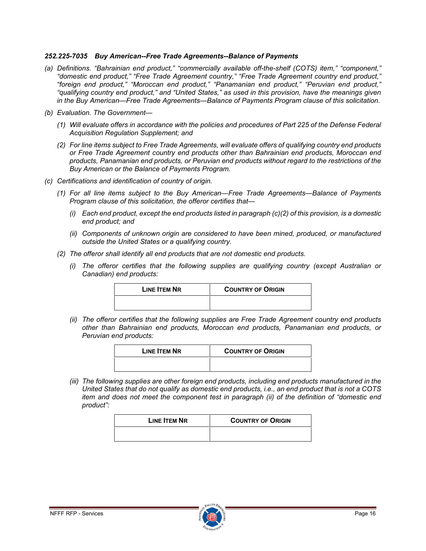## *252.225-7035 Buy American--Free Trade Agreements--Balance of Payments*

- *(a) Definitions. "Bahrainian end product," "commercially available off-the-shelf (COTS) item," "component," "domestic end product," "Free Trade Agreement country," "Free Trade Agreement country end product," "foreign end product," "Moroccan end product," "Panamanian end product," "Peruvian end product," "qualifying country end product," and "United States," as used in this provision, have the meanings given in the Buy American—Free Trade Agreements—Balance of Payments Program clause of this solicitation.*
- *(b) Evaluation. The Government—*
	- *(1) Will evaluate offers in accordance with the policies and procedures of Part 225 of the Defense Federal Acquisition Regulation Supplement; and*
	- *(2) For line items subject to Free Trade Agreements, will evaluate offers of qualifying country end products or Free Trade Agreement country end products other than Bahrainian end products, Moroccan end products, Panamanian end products, or Peruvian end products without regard to the restrictions of the Buy American or the Balance of Payments Program.*
- *(c) Certifications and identification of country of origin.*
	- *(1) For all line items subject to the Buy American—Free Trade Agreements—Balance of Payments Program clause of this solicitation, the offeror certifies that—*
		- *(i) Each end product, except the end products listed in paragraph (c)(2) of this provision, is a domestic end product; and*
		- *(ii) Components of unknown origin are considered to have been mined, produced, or manufactured outside the United States or a qualifying country.*
	- *(2) The offeror shall identify all end products that are not domestic end products.*
		- *(i) The offeror certifies that the following supplies are qualifying country (except Australian or Canadian) end products:*

| LINE ITEM NR | <b>COUNTRY OF ORIGIN</b> |
|--------------|--------------------------|
|              |                          |

*(ii) The offeror certifies that the following supplies are Free Trade Agreement country end products other than Bahrainian end products, Moroccan end products, Panamanian end products, or Peruvian end products:*

| LINE ITEM NR | <b>COUNTRY OF ORIGIN</b> |
|--------------|--------------------------|
|              |                          |

*(iii) The following supplies are other foreign end products, including end products manufactured in the United States that do not qualify as domestic end products, i.e., an end product that is not a COTS item and does not meet the component test in paragraph (ii) of the definition of "domestic end product":*

| LINE ITEM NR | <b>COUNTRY OF ORIGIN</b> |
|--------------|--------------------------|
|              |                          |

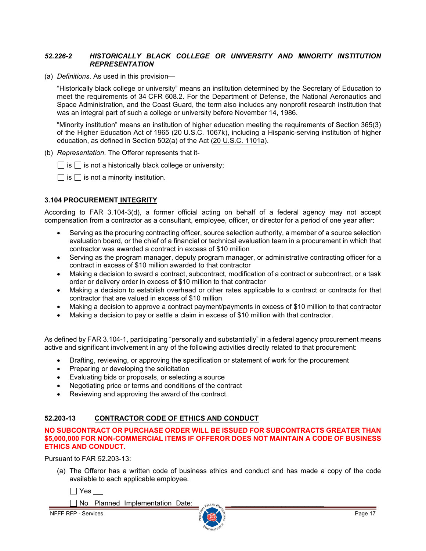## *52.226-2 HISTORICALLY BLACK COLLEGE OR UNIVERSITY AND MINORITY INSTITUTION REPRESENTATION*

(a) *Definitions*. As used in this provision—

"Historically black college or university" means an institution determined by the Secretary of Education to meet the requirements of 34 CFR 608.2. For the Department of Defense, the National Aeronautics and Space Administration, and the Coast Guard, the term also includes any nonprofit research institution that was an integral part of such a college or university before November 14, 1986.

"Minority institution" means an institution of higher education meeting the requirements of Section 365(3) of the Higher Education Act of 1965 (20 U.S.C. [1067k\)](http://uscode.house.gov/uscode-cgi/fastweb.exe?getdoc+uscview+t17t20+2890+133++%2820%29%20%20AND%20%28%2820%29%20ADJ%20USC%29%3ACITE%20%20%20%20%20%20%20%20%20), including a Hispanic-serving institution of higher education, as defined in Section 502(a) of the Act (20 U.S.C. [1101a\)](http://uscode.house.gov/uscode-cgi/fastweb.exe?getdoc+uscview+t17t20+2890+133++%2820%29%20%20AND%20%28%2820%29%20ADJ%20USC%29%3ACITE%20%20%20%20%20%20%20%20%20).

- (b) *Representation*. The Offeror represents that it-
	- $\Box$  is  $\Box$  is not a historically black college or university;
	- $\Box$  is  $\Box$  is not a minority institution.

#### **3.104 PROCUREMENT INTEGRITY**

According to FAR 3.104-3(d), a former official acting on behalf of a federal agency may not accept compensation from a contractor as a consultant, employee, officer, or director for a period of one year after:

- Serving as the procuring contracting officer, source selection authority, a member of a source selection evaluation board, or the chief of a financial or technical evaluation team in a procurement in which that contractor was awarded a contract in excess of \$10 million
- Serving as the program manager, deputy program manager, or administrative contracting officer for a contract in excess of \$10 million awarded to that contractor
- Making a decision to award a contract, subcontract, modification of a contract or subcontract, or a task order or delivery order in excess of \$10 million to that contractor
- Making a decision to establish overhead or other rates applicable to a contract or contracts for that contractor that are valued in excess of \$10 million
- Making a decision to approve a contract payment/payments in excess of \$10 million to that contractor
- Making a decision to pay or settle a claim in excess of \$10 million with that contractor.

As defined by FAR 3.104-1, participating "personally and substantially" in a federal agency procurement means active and significant involvement in any of the following activities directly related to that procurement:

- Drafting, reviewing, or approving the specification or statement of work for the procurement
- Preparing or developing the solicitation
- Evaluating bids or proposals, or selecting a source
- Negotiating price or terms and conditions of the contract
- Reviewing and approving the award of the contract.

#### **52.203-13 CONTRACTOR CODE OF ETHICS AND CONDUCT**

#### **NO SUBCONTRACT OR PURCHASE ORDER WILL BE ISSUED FOR SUBCONTRACTS GREATER THAN \$5,000,000 FOR NON-COMMERCIAL ITEMS IF OFFEROR DOES NOT MAINTAIN A CODE OF BUSINESS ETHICS AND CONDUCT.**

Pursuant to FAR 52.203-13:

(a) The Offeror has a written code of business ethics and conduct and has made a copy of the code available to each applicable employee.

 $\Box$  Yes

 $\Box$  No Planned Implementation Date:

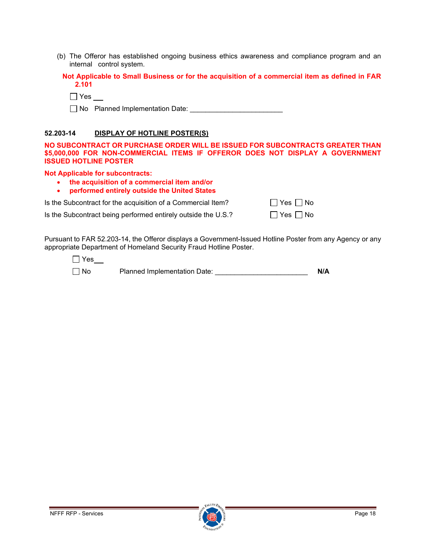(b) The Offeror has established ongoing business ethics awareness and compliance program and an internal control system.

|       |  | Not Applicable to Small Business or for the acquisition of a commercial item as defined in FAR |  |
|-------|--|------------------------------------------------------------------------------------------------|--|
| 2.101 |  |                                                                                                |  |

Yes

No Planned Implementation Date: \_\_\_\_\_\_\_\_\_\_\_\_\_\_\_\_\_\_\_\_\_\_\_\_

#### **52.203-14 DISPLAY OF HOTLINE POSTER(S)**

**NO SUBCONTRACT OR PURCHASE ORDER WILL BE ISSUED FOR SUBCONTRACTS GREATER THAN \$5,000,000 FOR NON-COMMERCIAL ITEMS IF OFFEROR DOES NOT DISPLAY A GOVERNMENT ISSUED HOTLINE POSTER**

#### **Not Applicable for subcontracts:**

- **the acquisition of a commercial item and/or**
- **performed entirely outside the United States**

Is the Subcontract for the acquisition of a Commercial Item?  $\Box$  Yes  $\Box$  No

Is the Subcontract being performed entirely outside the U.S.?

| Yes □ No |  |
|----------|--|

Pursuant to FAR 52.203-14, the Offeror displays a Government-Issued Hotline Poster from any Agency or any appropriate Department of Homeland Security Fraud Hotline Poster.

| Nο |  |
|----|--|
|    |  |

| Nc | Planned Implementation Date: | N/A |
|----|------------------------------|-----|
|----|------------------------------|-----|

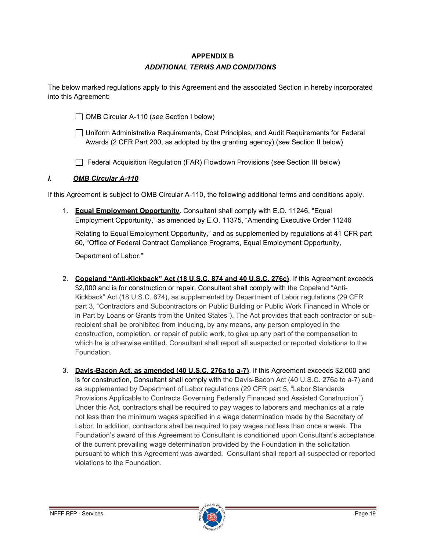# **APPENDIX B** *ADDITIONAL TERMS AND CONDITIONS*

The below marked regulations apply to this Agreement and the associated Section in hereby incorporated into this Agreement:

- OMB Circular A-110 (*see* Section I below)
- Uniform Administrative Requirements, Cost Principles, and Audit Requirements for Federal Awards (2 CFR Part 200, as adopted by the granting agency) (*see* Section II below)
- Federal Acquisition Regulation (FAR) Flowdown Provisions (*see* Section III below)

# *I. OMB Circular A-110*

If this Agreement is subject to OMB Circular A-110, the following additional terms and conditions apply.

1. **Equal Employment Opportunity**. Consultant shall comply with E.O. 11246, "Equal Employment Opportunity," as amended by E.O. 11375, "Amending Executive Order 11246

Relating to Equal Employment Opportunity," and as supplemented by regulations at 41 CFR part 60, "Office of Federal Contract Compliance Programs, Equal Employment Opportunity,

Department of Labor."

- 2. **Copeland "Anti-Kickback" Act (18 U.S.C. 874 and 40 U.S.C. 276c)**. If this Agreement exceeds \$2,000 and is for construction or repair, Consultant shall comply with the Copeland "Anti-Kickback" Act (18 U.S.C. 874), as supplemented by Department of Labor regulations (29 CFR part 3, "Contractors and Subcontractors on Public Building or Public Work Financed in Whole or in Part by Loans or Grants from the United States"). The Act provides that each contractor or subrecipient shall be prohibited from inducing, by any means, any person employed in the construction, completion, or repair of public work, to give up any part of the compensation to which he is otherwise entitled. Consultant shall report all suspected orreported violations to the Foundation.
- 3. **Davis-Bacon Act, as amended (40 U.S.C. 276a to a-7)**. If this Agreement exceeds \$2,000 and is for construction, Consultant shall comply with the Davis-Bacon Act (40 U.S.C. 276a to a-7) and as supplemented by Department of Labor regulations (29 CFR part 5, "Labor Standards Provisions Applicable to Contracts Governing Federally Financed and Assisted Construction"). Under this Act, contractors shall be required to pay wages to laborers and mechanics at a rate not less than the minimum wages specified in a wage determination made by the Secretary of Labor. In addition, contractors shall be required to pay wages not less than once a week. The Foundation's award of this Agreement to Consultant is conditioned upon Consultant's acceptance of the current prevailing wage determination provided by the Foundation in the solicitation pursuant to which this Agreement was awarded. Consultant shall report all suspected or reported violations to the Foundation.

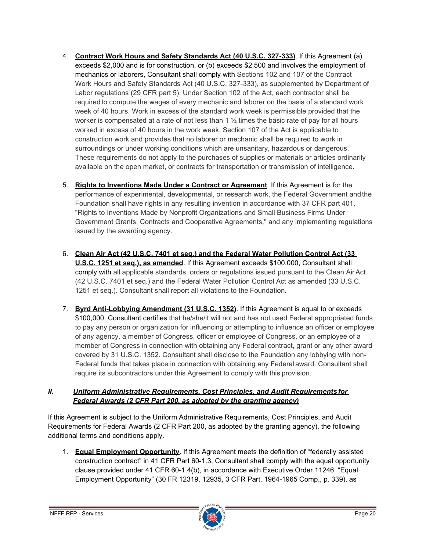- 4. **Contract Work Hours and Safety Standards Act (40 U.S.C. 327-333)**. If this Agreement (a) exceeds \$2,000 and is for construction, or (b) exceeds \$2,500 and involves the employment of mechanics or laborers, Consultant shall comply with Sections 102 and 107 of the Contract Work Hours and Safety Standards Act (40 U.S.C. 327-333), as supplemented by Department of Labor regulations (29 CFR part 5). Under Section 102 of the Act, each contractor shall be requiredto compute the wages of every mechanic and laborer on the basis of a standard work week of 40 hours. Work in excess of the standard work week is permissible provided that the worker is compensated at a rate of not less than  $1\frac{1}{2}$  times the basic rate of pay for all hours worked in excess of 40 hours in the work week. Section 107 of the Act is applicable to construction work and provides that no laborer or mechanic shall be required to work in surroundings or under working conditions which are unsanitary, hazardous or dangerous. These requirements do not apply to the purchases of supplies or materials or articles ordinarily available on the open market, or contracts for transportation or transmission of intelligence.
- 5. **Rights to Inventions Made Under a Contract or Agreement**. If this Agreement is for the performance of experimental, developmental, or research work, the Federal Government andthe Foundation shall have rights in any resulting invention in accordance with 37 CFR part 401, "Rights to Inventions Made by Nonprofit Organizations and Small Business Firms Under Government Grants, Contracts and Cooperative Agreements," and any implementing regulations issued by the awarding agency.
- 6. **Clean Air Act (42 U.S.C. 7401 et seq.) and the Federal Water Pollution Control Act (33 U.S.C. 1251 et seq.), as amended**. If this Agreement exceeds \$100,000, Consultant shall comply with all applicable standards, orders or regulations issued pursuant to the Clean AirAct (42 U.S.C. 7401 et seq.) and the Federal Water Pollution Control Act as amended (33 U.S.C. 1251 et seq.). Consultant shall report all violations to the Foundation.
- 7. **Byrd Anti-Lobbying Amendment (31 U.S.C. 1352)**. If this Agreement is equal to or exceeds \$100,000, Consultant certifies that he/she/it will not and has not used Federal appropriated funds to pay any person or organization for influencing or attempting to influence an officer or employee of any agency, a member of Congress, officer or employee of Congress, or an employee of a member of Congress in connection with obtaining any Federal contract, grant or any other award covered by 31 U.S.C. 1352. Consultant shall disclose to the Foundation any lobbying with non-Federal funds that takes place in connection with obtaining any Federal award. Consultant shall require its subcontractors under this Agreement to comply with this provision.

# *II. Uniform Administrative Requirements, Cost Principles, and Audit Requirements for Federal Awards (2 CFR Part 200, as adopted by the granting agency)*

If this Agreement is subject to the Uniform Administrative Requirements, Cost Principles, and Audit Requirements for Federal Awards (2 CFR Part 200, as adopted by the granting agency), the following additional terms and conditions apply.

1. **Equal Employment Opportunity**. If this Agreement meets the definition of "federally assisted construction contract" in 41 CFR Part 60-1.3, Consultant shall comply with the equal opportunity clause provided under 41 CFR 60-1.4(b), in accordance with Executive Order 11246, "Equal Employment Opportunity" (30 FR 12319, 12935, 3 CFR Part, 1964-1965 Comp., p. 339), as

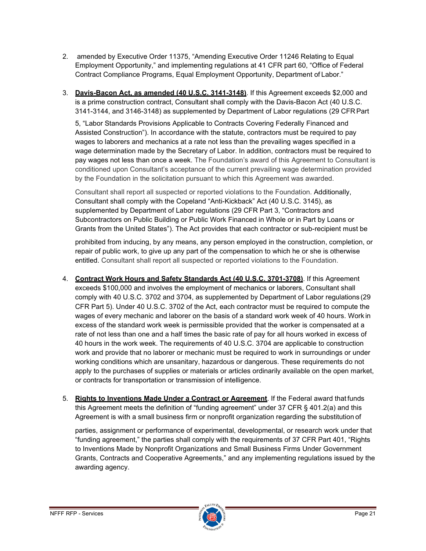- 2. amended by Executive Order 11375, "Amending Executive Order 11246 Relating to Equal Employment Opportunity," and implementing regulations at 41 CFR part 60, "Office of Federal Contract Compliance Programs, Equal Employment Opportunity, Department of Labor."
- 3. **Davis-Bacon Act, as amended (40 U.S.C. 3141-3148)**. If this Agreement exceeds \$2,000 and is a prime construction contract, Consultant shall comply with the Davis-Bacon Act (40 U.S.C. 3141-3144, and 3146-3148) as supplemented by Department of Labor regulations (29 CFR Part

5, "Labor Standards Provisions Applicable to Contracts Covering Federally Financed and Assisted Construction"). In accordance with the statute, contractors must be required to pay wages to laborers and mechanics at a rate not less than the prevailing wages specified in a wage determination made by the Secretary of Labor. In addition, contractors must be required to pay wages not less than once a week. The Foundation's award of this Agreement to Consultant is conditioned upon Consultant's acceptance of the current prevailing wage determination provided by the Foundation in the solicitation pursuant to which this Agreement was awarded.

Consultant shall report all suspected or reported violations to the Foundation. Additionally, Consultant shall comply with the Copeland "Anti-Kickback" Act (40 U.S.C. 3145), as supplemented by Department of Labor regulations (29 CFR Part 3, "Contractors and Subcontractors on Public Building or Public Work Financed in Whole or in Part by Loans or Grants from the United States"). The Act provides that each contractor or sub-recipient must be

prohibited from inducing, by any means, any person employed in the construction, completion, or repair of public work, to give up any part of the compensation to which he or she is otherwise entitled. Consultant shall report all suspected or reported violations to the Foundation.

- 4. **Contract Work Hours and Safety Standards Act (40 U.S.C. 3701-3708)**. If this Agreement exceeds \$100,000 and involves the employment of mechanics or laborers, Consultant shall comply with 40 U.S.C. 3702 and 3704, as supplemented by Department of Labor regulations (29 CFR Part 5). Under 40 U.S.C. 3702 of the Act, each contractor must be required to compute the wages of every mechanic and laborer on the basis of a standard work week of 40 hours. Work in excess of the standard work week is permissible provided that the worker is compensated at a rate of not less than one and a half times the basic rate of pay for all hours worked in excess of 40 hours in the work week. The requirements of 40 U.S.C. 3704 are applicable to construction work and provide that no laborer or mechanic must be required to work in surroundings or under working conditions which are unsanitary, hazardous or dangerous. These requirements do not apply to the purchases of supplies or materials or articles ordinarily available on the open market, or contracts for transportation or transmission of intelligence.
- 5. **Rights to Inventions Made Under a Contract or Agreement**. If the Federal award that funds this Agreement meets the definition of "funding agreement" under 37 CFR § 401.2(a) and this Agreement is with a small business firm or nonprofit organization regarding the substitution of

parties, assignment or performance of experimental, developmental, or research work under that "funding agreement," the parties shall comply with the requirements of 37 CFR Part 401, "Rights to Inventions Made by Nonprofit Organizations and Small Business Firms Under Government Grants, Contracts and Cooperative Agreements," and any implementing regulations issued by the awarding agency.